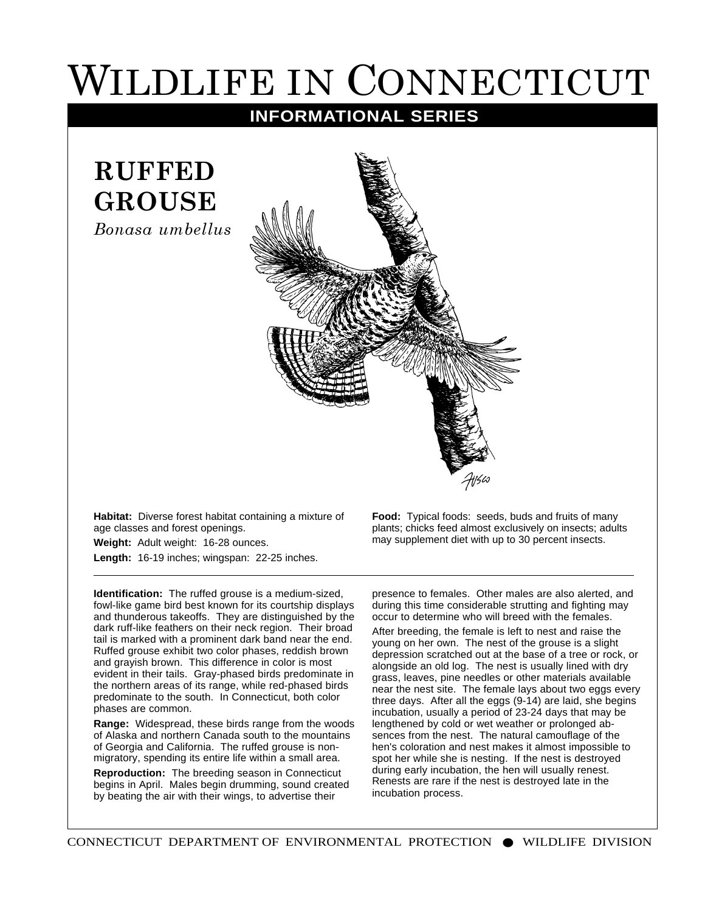## WILDLIFE IN CONNECTICUT

## **INFORMATIONAL SERIES**



**Habitat:** Diverse forest habitat containing a mixture of age classes and forest openings. **Weight:** Adult weight: 16-28 ounces.

**Length:** 16-19 inches; wingspan: 22-25 inches.

**Identification:** The ruffed grouse is a medium-sized, fowl-like game bird best known for its courtship displays and thunderous takeoffs. They are distinguished by the dark ruff-like feathers on their neck region. Their broad tail is marked with a prominent dark band near the end. Ruffed grouse exhibit two color phases, reddish brown and grayish brown. This difference in color is most evident in their tails. Gray-phased birds predominate in the northern areas of its range, while red-phased birds predominate to the south. In Connecticut, both color phases are common.

**Range:** Widespread, these birds range from the woods of Alaska and northern Canada south to the mountains of Georgia and California. The ruffed grouse is nonmigratory, spending its entire life within a small area.

**Reproduction:** The breeding season in Connecticut begins in April. Males begin drumming, sound created by beating the air with their wings, to advertise their

**Food:** Typical foods: seeds, buds and fruits of many plants; chicks feed almost exclusively on insects; adults may supplement diet with up to 30 percent insects.

presence to females. Other males are also alerted, and during this time considerable strutting and fighting may occur to determine who will breed with the females.

After breeding, the female is left to nest and raise the young on her own. The nest of the grouse is a slight depression scratched out at the base of a tree or rock, or alongside an old log. The nest is usually lined with dry grass, leaves, pine needles or other materials available near the nest site. The female lays about two eggs every three days. After all the eggs (9-14) are laid, she begins incubation, usually a period of 23-24 days that may be lengthened by cold or wet weather or prolonged absences from the nest. The natural camouflage of the hen's coloration and nest makes it almost impossible to spot her while she is nesting. If the nest is destroyed during early incubation, the hen will usually renest. Renests are rare if the nest is destroyed late in the incubation process.